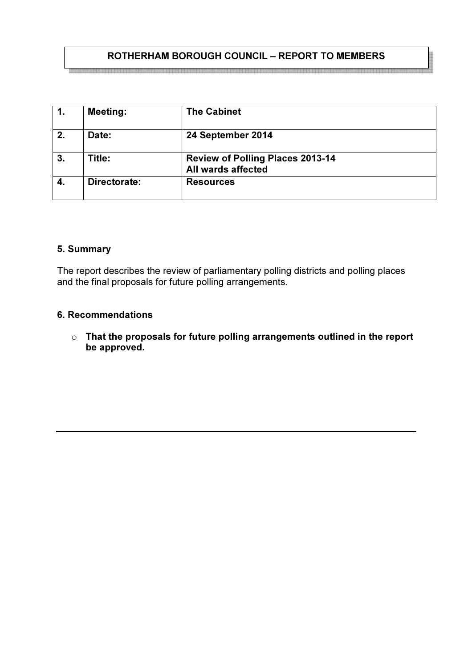## ROTHERHAM BOROUGH COUNCIL – REPORT TO MEMBERS

| $\mathbf{1}$ . | <b>Meeting:</b> | <b>The Cabinet</b>                                            |
|----------------|-----------------|---------------------------------------------------------------|
| 2.             | Date:           | 24 September 2014                                             |
| 3.             | Title:          | <b>Review of Polling Places 2013-14</b><br>All wards affected |
| -4.            | Directorate:    | <b>Resources</b>                                              |

#### 5. Summary

The report describes the review of parliamentary polling districts and polling places and the final proposals for future polling arrangements.

#### 6. Recommendations

 $\circ$  That the proposals for future polling arrangements outlined in the report be approved.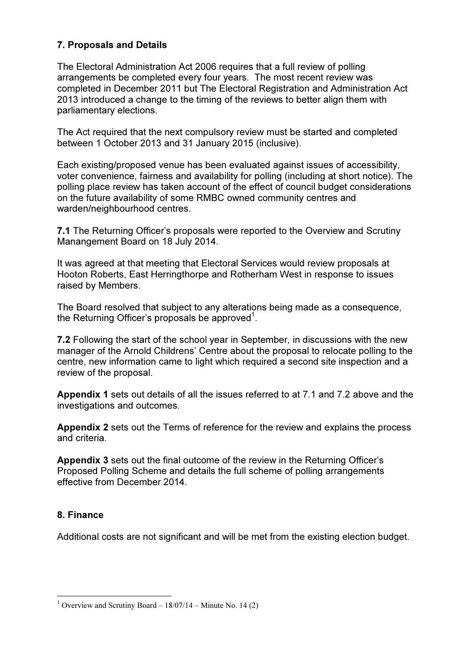## 7. Proposals and Details

The Electoral Administration Act 2006 requires that a full review of polling arrangements be completed every four years. The most recent review was completed in December 2011 but The Electoral Registration and Administration Act 2013 introduced a change to the timing of the reviews to better align them with parliamentary elections.

The Act required that the next compulsory review must be started and completed between 1 October 2013 and 31 January 2015 (inclusive).

Each existing/proposed venue has been evaluated against issues of accessibility, voter convenience, fairness and availability for polling (including at short notice). The polling place review has taken account of the effect of council budget considerations on the future availability of some RMBC owned community centres and warden/neighbourhood centres.

7.1 The Returning Officer's proposals were reported to the Overview and Scrutiny Manangement Board on 18 July 2014.

It was agreed at that meeting that Electoral Services would review proposals at Hooton Roberts, East Herringthorpe and Rotherham West in response to issues raised by Members.

The Board resolved that subject to any alterations being made as a consequence, the Returning Officer's proposals be approved<sup>1</sup>.

7.2 Following the start of the school year in September, in discussions with the new manager of the Arnold Childrens' Centre about the proposal to relocate polling to the centre, new information came to light which required a second site inspection and a review of the proposal.

Appendix 1 sets out details of all the issues referred to at 7.1 and 7.2 above and the investigations and outcomes.

Appendix 2 sets out the Terms of reference for the review and explains the process and criteria.

Appendix 3 sets out the final outcome of the review in the Returning Officer's Proposed Polling Scheme and details the full scheme of polling arrangements effective from December 2014.

## 8. Finance

 $\overline{a}$ 

Additional costs are not significant and will be met from the existing election budget.

<sup>&</sup>lt;sup>1</sup> Overview and Scrutiny Board –  $18/07/14$  – Minute No. 14 (2)